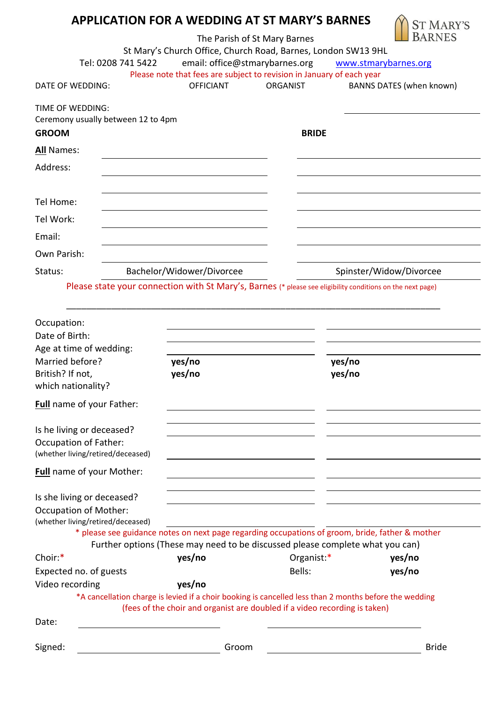# **APPLICATION FOR A WEDDING AT ST MARY'S BARNES**

The Parish of St Mary Barnes



|                                                                               | Tel: 0208 741 5422        | email: office@stmarybarnes.org                                                                                                                                                       | St Mary's Church Office, Church Road, Barnes, London SW13 9HL<br>www.stmarybarnes.org |
|-------------------------------------------------------------------------------|---------------------------|--------------------------------------------------------------------------------------------------------------------------------------------------------------------------------------|---------------------------------------------------------------------------------------|
| DATE OF WEDDING:                                                              | <b>OFFICIANT</b>          | Please note that fees are subject to revision in January of each year<br><b>ORGANIST</b>                                                                                             | BANNS DATES (when known)                                                              |
| <b>TIME OF WEDDING:</b><br>Ceremony usually between 12 to 4pm<br><b>GROOM</b> |                           | <b>BRIDE</b>                                                                                                                                                                         |                                                                                       |
| All Names:                                                                    |                           |                                                                                                                                                                                      |                                                                                       |
| Address:                                                                      |                           |                                                                                                                                                                                      |                                                                                       |
| Tel Home:                                                                     |                           |                                                                                                                                                                                      |                                                                                       |
| Tel Work:                                                                     |                           |                                                                                                                                                                                      |                                                                                       |
| Email:                                                                        |                           |                                                                                                                                                                                      |                                                                                       |
| Own Parish:                                                                   |                           |                                                                                                                                                                                      |                                                                                       |
| Status:                                                                       | Bachelor/Widower/Divorcee |                                                                                                                                                                                      | Spinster/Widow/Divorcee                                                               |
|                                                                               |                           | Please state your connection with St Mary's, Barnes (* please see eligibility conditions on the next page)                                                                           |                                                                                       |
|                                                                               |                           |                                                                                                                                                                                      |                                                                                       |
| Occupation:                                                                   |                           |                                                                                                                                                                                      |                                                                                       |
| Date of Birth:                                                                |                           |                                                                                                                                                                                      |                                                                                       |
| Age at time of wedding:                                                       |                           |                                                                                                                                                                                      |                                                                                       |
| Married before?                                                               | yes/no                    | yes/no                                                                                                                                                                               |                                                                                       |
| British? If not,                                                              | yes/no                    | yes/no                                                                                                                                                                               |                                                                                       |
| which nationality?                                                            |                           |                                                                                                                                                                                      |                                                                                       |
| Full name of your Father:                                                     |                           |                                                                                                                                                                                      |                                                                                       |
|                                                                               |                           |                                                                                                                                                                                      |                                                                                       |
|                                                                               |                           |                                                                                                                                                                                      |                                                                                       |
| Is he living or deceased?<br><b>Occupation of Father:</b>                     |                           |                                                                                                                                                                                      |                                                                                       |
| (whether living/retired/deceased)                                             |                           |                                                                                                                                                                                      |                                                                                       |
| <b>Full</b> name of your Mother:                                              |                           |                                                                                                                                                                                      |                                                                                       |
|                                                                               |                           |                                                                                                                                                                                      |                                                                                       |
| Is she living or deceased?<br><b>Occupation of Mother:</b>                    |                           |                                                                                                                                                                                      |                                                                                       |
| (whether living/retired/deceased)                                             |                           |                                                                                                                                                                                      |                                                                                       |
|                                                                               |                           | * please see guidance notes on next page regarding occupations of groom, bride, father & mother                                                                                      |                                                                                       |
|                                                                               |                           | Further options (These may need to be discussed please complete what you can)                                                                                                        |                                                                                       |
| Choir:*                                                                       | yes/no                    | Organist:*                                                                                                                                                                           | yes/no                                                                                |
| Expected no. of guests                                                        |                           | Bells:                                                                                                                                                                               | yes/no                                                                                |
| Video recording                                                               | yes/no                    |                                                                                                                                                                                      |                                                                                       |
|                                                                               |                           | *A cancellation charge is levied if a choir booking is cancelled less than 2 months before the wedding<br>(fees of the choir and organist are doubled if a video recording is taken) |                                                                                       |
| Date:                                                                         |                           |                                                                                                                                                                                      |                                                                                       |